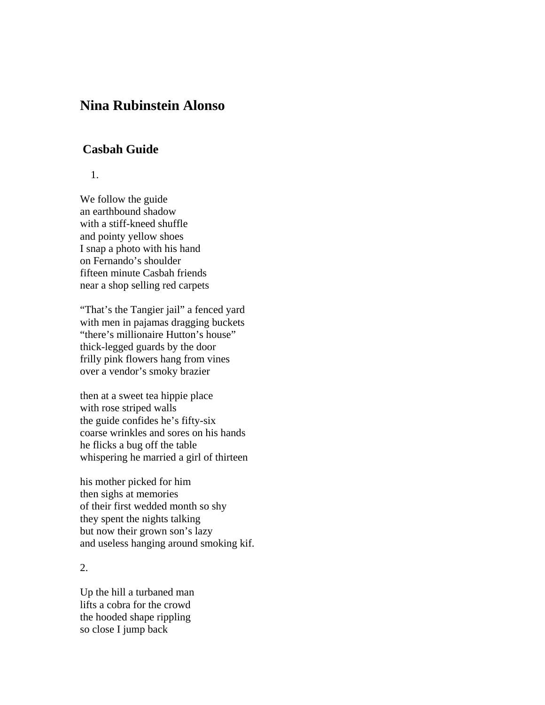## **Nina Rubinstein Alonso**

## **Casbah Guide**

1.

We follow the guide an earthbound shadow with a stiff-kneed shuffle and pointy yellow shoes I snap a photo with his hand on Fernando's shoulder fifteen minute Casbah friends near a shop selling red carpets

"That's the Tangier jail" a fenced yard with men in pajamas dragging buckets "there's millionaire Hutton's house" thick-legged guards by the door frilly pink flowers hang from vines over a vendor's smoky brazier

then at a sweet tea hippie place with rose striped walls the guide confides he's fifty-six coarse wrinkles and sores on his hands he flicks a bug off the table whispering he married a girl of thirteen

his mother picked for him then sighs at memories of their first wedded month so shy they spent the nights talking but now their grown son's lazy and useless hanging around smoking kif.

2.

Up the hill a turbaned man lifts a cobra for the crowd the hooded shape rippling so close I jump back